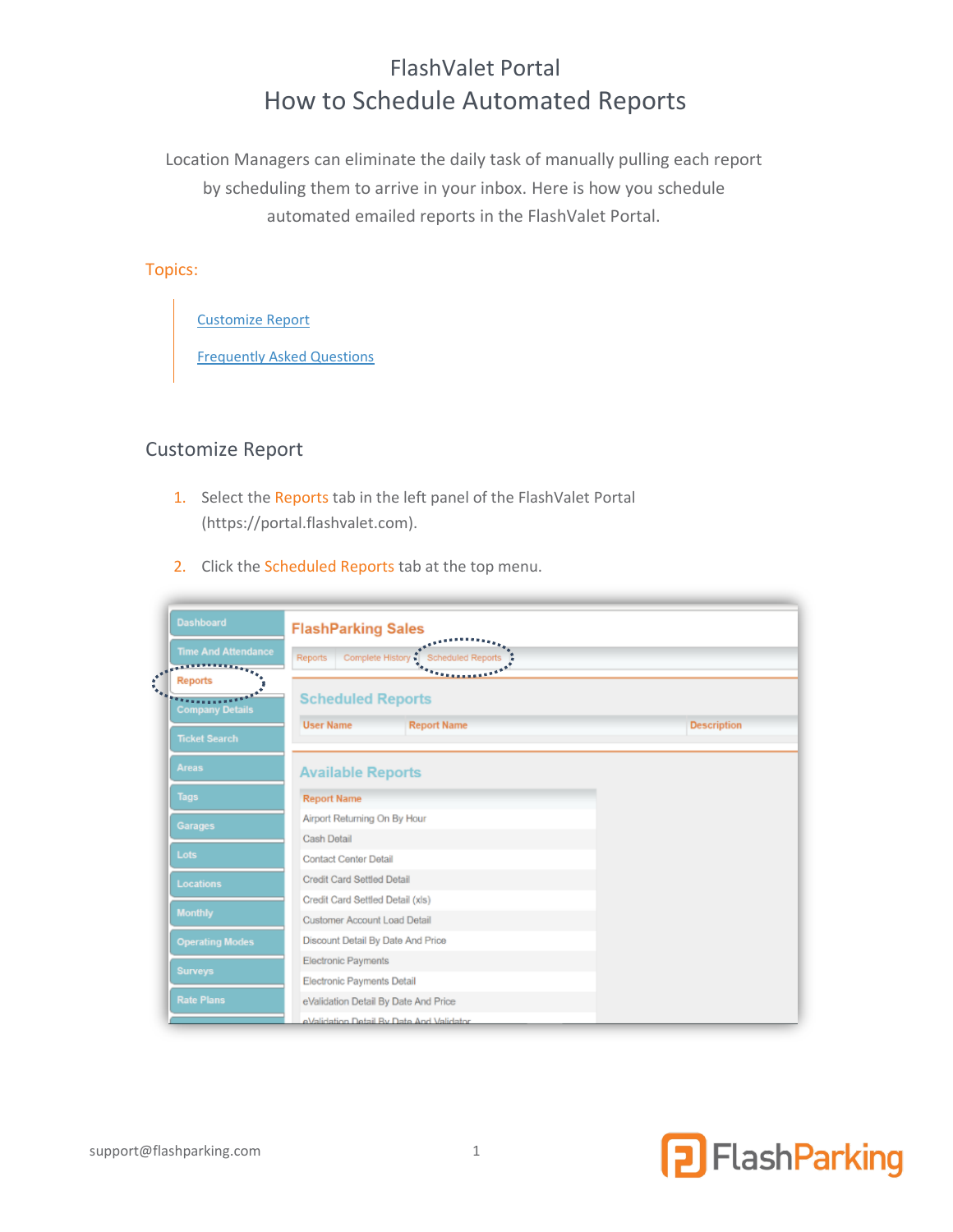# FlashValet Portal How to Schedule Automated Reports

Location Managers can eliminate the daily task of manually pulling each report by scheduling them to arrive in your inbox. Here is how you schedule automated emailed reports in the FlashValet Portal.

#### Topics:

[Customize Report](#page-0-0)

[Frequently Asked Questions](#page-3-0)

## <span id="page-0-0"></span>Customize Report

- 1. Select the Reports tab in the left panel of the FlashValet Portal [\(https://portal.flashvalet.com\)](https://portal.flashvalet.com/).
- 2. Click the Scheduled Reports tab at the top menu.

| <b>Dashboard</b>                 | <b>FlashParking Sales</b>                               |                    |
|----------------------------------|---------------------------------------------------------|--------------------|
| <b>Time And Attendance</b>       | Complete History<br>Scheduled Reports<br><b>Reports</b> |                    |
| <b>Reports</b>                   |                                                         |                    |
| 201000<br><b>Company Details</b> | <b>Scheduled Reports</b>                                |                    |
| <b>Ticket Search</b>             | <b>User Name</b><br><b>Report Name</b>                  | <b>Description</b> |
| <b>Areas</b>                     | <b>Available Reports</b>                                |                    |
| <b>Tags</b>                      | <b>Report Name</b>                                      |                    |
| <b>Garages</b>                   | Airport Returning On By Hour                            |                    |
|                                  | <b>Cash Detail</b>                                      |                    |
| Lots                             | <b>Contact Center Detail</b>                            |                    |
| <b>Locations</b>                 | Credit Card Settled Detail                              |                    |
| <b>Monthly</b>                   | Credit Card Settled Detail (xls)                        |                    |
|                                  | Customer Account Load Detail                            |                    |
| <b>Operating Modes</b>           | Discount Detail By Date And Price                       |                    |
| <b>Surveys</b>                   | Electronic Payments                                     |                    |
|                                  | Electronic Payments Detail                              |                    |
| <b>Rate Plans</b>                | eValidation Detail By Date And Price                    |                    |
|                                  | eValidation Detail By Date And Validator                |                    |

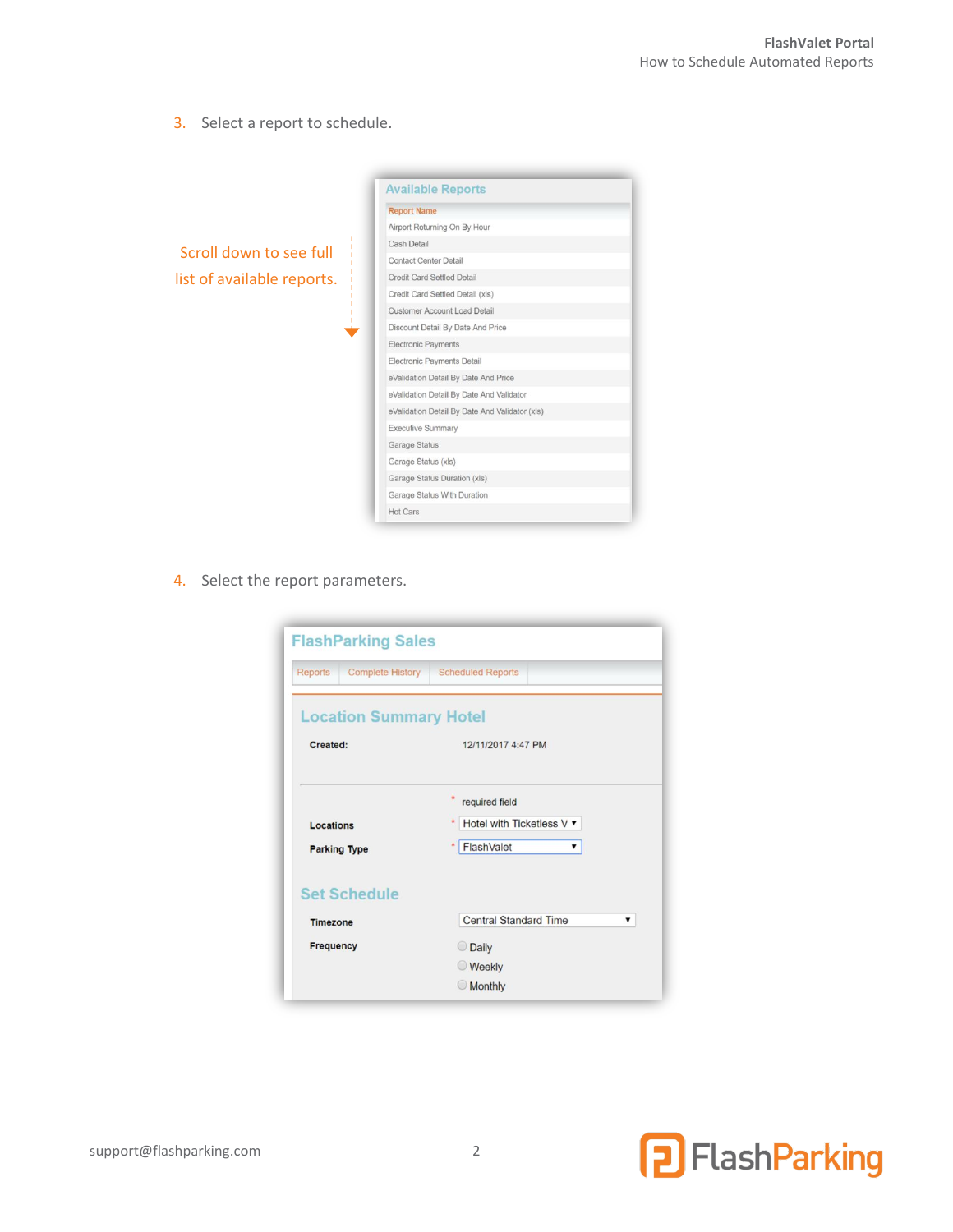3. Select a report to schedule.

**Available Reports Report Name** Airport Returning On By Hour Cash Detail Scroll down to see full Contact Center Detail Credit Card Settled Detail list of available reports.Credit Card Settled Detail (xls) Customer Account Load Detail Discount Detail By Date And Price Electronic Payments Electronic Payments Detail eValidation Detail By Date And Price eValidation Detail By Date And Validator eValidation Detail By Date And Validator (xls) Executive Summary Garage Status Garage Status (xls) Garage Status Duration (xls) Garage Status With Duration Hot Cars

4. Select the report parameters.

| <b>FlashParking Sales</b>                 |                                                                |  |
|-------------------------------------------|----------------------------------------------------------------|--|
| <b>Reports</b><br><b>Complete History</b> | <b>Scheduled Reports</b>                                       |  |
| <b>Location Summary Hotel</b>             |                                                                |  |
| Created:                                  | 12/11/2017 4:47 PM                                             |  |
| Locations<br><b>Parking Type</b>          | required field<br>Hotel with Ticketless V ▼<br>FlashValet<br>▼ |  |
| <b>Set Schedule</b>                       |                                                                |  |
| <b>Timezone</b>                           | <b>Central Standard Time</b>                                   |  |
| <b>Frequency</b>                          | O Daily                                                        |  |
|                                           | <b>Weekly</b>                                                  |  |
|                                           | <b>Monthly</b>                                                 |  |

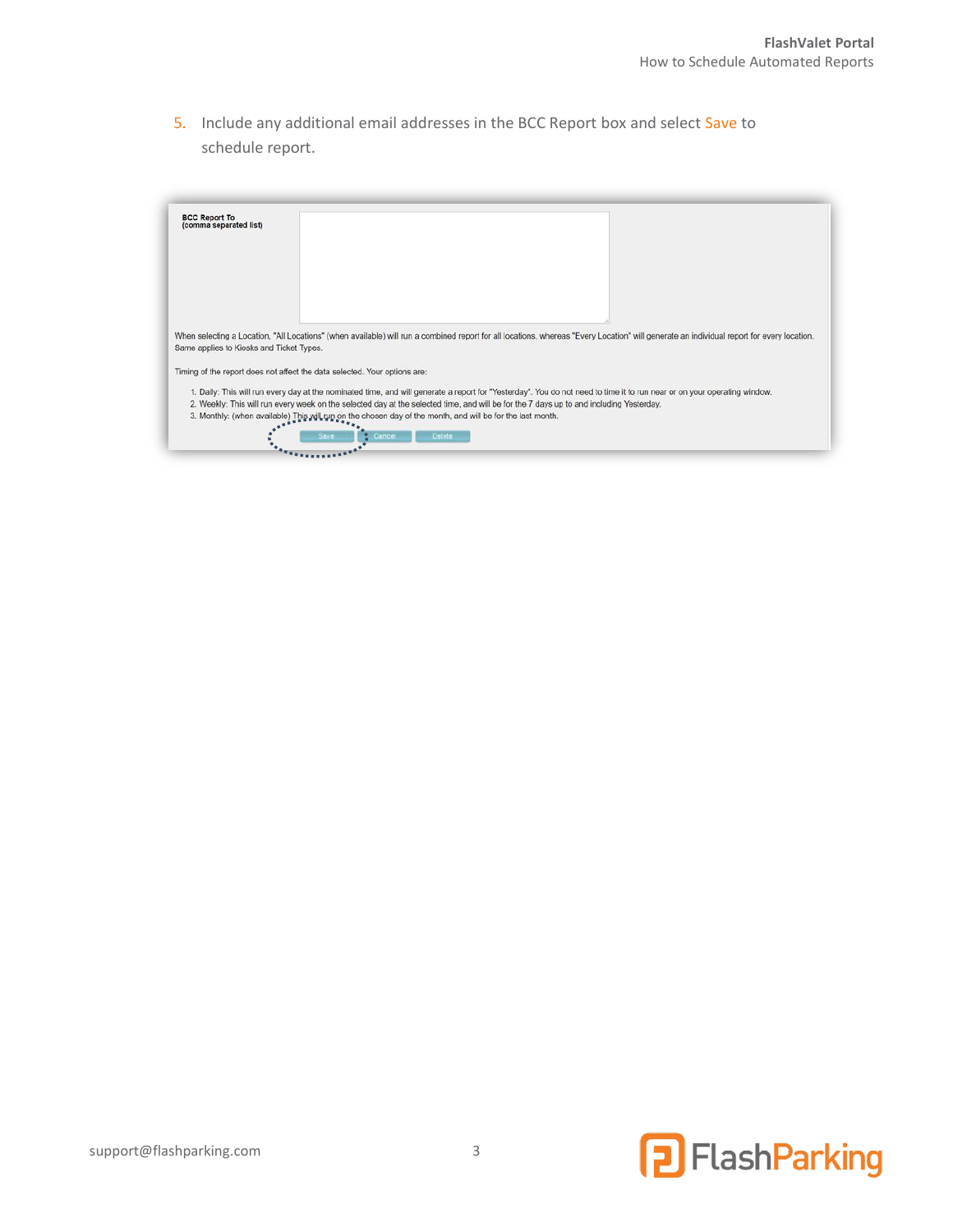5. Include any additional email addresses in the BCC Report box and select Save to schedule report.

| <b>BCC Report To</b><br>(comma separated list) |                                                                                                                                                                                           |
|------------------------------------------------|-------------------------------------------------------------------------------------------------------------------------------------------------------------------------------------------|
|                                                |                                                                                                                                                                                           |
|                                                |                                                                                                                                                                                           |
|                                                |                                                                                                                                                                                           |
| Same applies to Kiosks and Ticket Types.       | When selecting a Location, "All Locations" (when available) will run a combined report for all locations, whereas "Every Location" will generate an individual report for every location. |
|                                                | Timing of the report does not affect the data selected. Your options are:                                                                                                                 |
|                                                | 1. Daily: This will run every day at the nominated time, and will generate a report for "Yesterday". You do not need to time it to run near or on your operating window.                  |
|                                                | 2. Weekly: This will run every week on the selected day at the selected time, and will be for the 7 days up to and including Yesterday.                                                   |
|                                                | 3. Monthly: (when available) This will run on the chosen day of the month, and will be for the last month.                                                                                |
|                                                |                                                                                                                                                                                           |